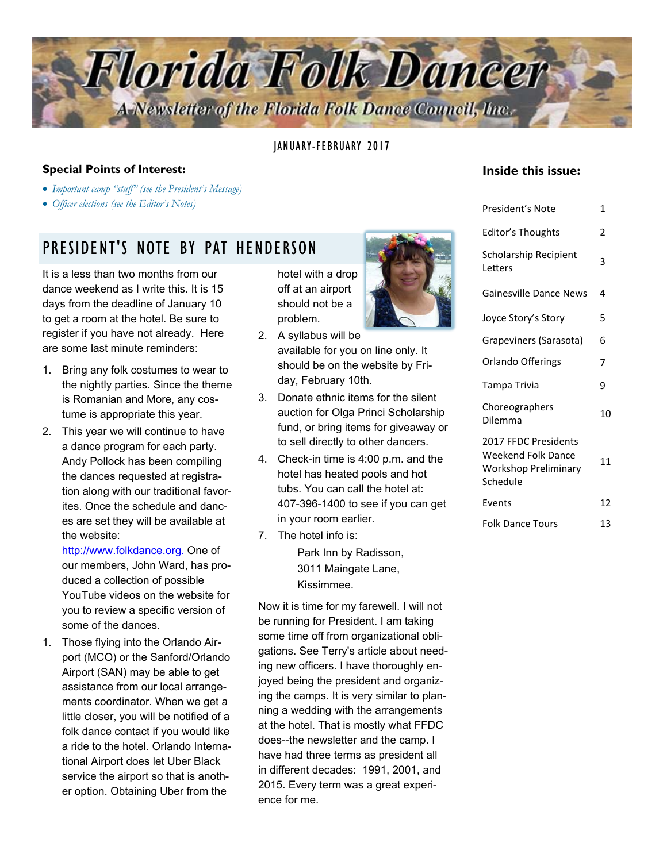

JANUARY-FEBRUARY 2017

#### **Special Points of Interest:**

- *Important camp "stuff" (see the President's Message)*
- *Officer elections (see the Editor's Notes)*

## PRESIDENT'S NOTE BY PAT HENDERSON

It is a less than two months from our dance weekend as I write this. It is 15 days from the deadline of January 10 to get a room at the hotel. Be sure to register if you have not already. Here are some last minute reminders:

- 1. Bring any folk costumes to wear to the nightly parties. Since the theme is Romanian and More, any costume is appropriate this year.
- 2. This year we will continue to have a dance program for each party. Andy Pollock has been compiling the dances requested at registration along with our traditional favorites. Once the schedule and dances are set they will be available at the website:

http://www.folkdance.org. One of our members, John Ward, has produced a collection of possible YouTube videos on the website for you to review a specific version of some of the dances.

1. Those flying into the Orlando Airport (MCO) or the Sanford/Orlando Airport (SAN) may be able to get assistance from our local arrangements coordinator. When we get a little closer, you will be notified of a folk dance contact if you would like a ride to the hotel. Orlando International Airport does let Uber Black service the airport so that is another option. Obtaining Uber from the

hotel with a drop off at an airport should not be a problem.

- 2. A syllabus will be available for you on line only. It should be on the website by Friday, February 10th.
- 3. Donate ethnic items for the silent auction for Olga Princi Scholarship fund, or bring items for giveaway or to sell directly to other dancers.
- 4. Check-in time is 4:00 p.m. and the hotel has heated pools and hot tubs. You can call the hotel at: 407-396-1400 to see if you can get in your room earlier.
- 7. The hotel info is: Park Inn by Radisson, 3011 Maingate Lane, Kissimmee.

Now it is time for my farewell. I will not be running for President. I am taking some time off from organizational obligations. See Terry's article about needing new officers. I have thoroughly enjoyed being the president and organizing the camps. It is very similar to planning a wedding with the arrangements at the hotel. That is mostly what FFDC does--the newsletter and the camp. I have had three terms as president all in different decades: 1991, 2001, and 2015. Every term was a great experience for me.

### Letters Gainesville Dance News 4 Joyce Story's Story 5 Grapeviners (Sarasota) 6 Orlando Offerings 7 Tampa Trivia **9** Choreographers Dilemma <sup>10</sup> Events 12 2017 FFDC Presidents Weekend Folk Dance Workshop Preliminary Schedule 11

Folk Dance Tours 13

**Inside this issue:** 

President's Note 1

Editor's Thoughts 2

3

Scholarship Recipient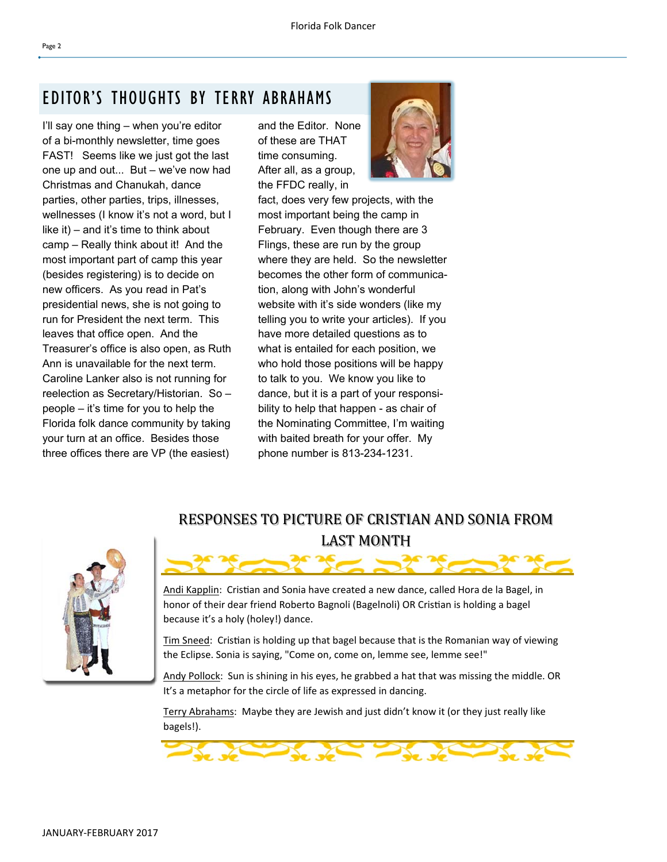I'll say one thing – when you're editor of a bi-monthly newsletter, time goes FAST! Seems like we just got the last one up and out... But – we've now had Christmas and Chanukah, dance parties, other parties, trips, illnesses, wellnesses (I know it's not a word, but I like it) – and it's time to think about camp – Really think about it! And the most important part of camp this year (besides registering) is to decide on new officers. As you read in Pat's presidential news, she is not going to run for President the next term. This leaves that office open. And the Treasurer's office is also open, as Ruth Ann is unavailable for the next term. Caroline Lanker also is not running for reelection as Secretary/Historian. So – people – it's time for you to help the Florida folk dance community by taking your turn at an office. Besides those three offices there are VP (the easiest)

and the Editor. None of these are THAT time consuming. After all, as a group, the FFDC really, in



fact, does very few projects, with the most important being the camp in February. Even though there are 3 Flings, these are run by the group where they are held. So the newsletter becomes the other form of communication, along with John's wonderful website with it's side wonders (like my telling you to write your articles). If you have more detailed questions as to what is entailed for each position, we who hold those positions will be happy to talk to you. We know you like to dance, but it is a part of your responsibility to help that happen - as chair of the Nominating Committee, I'm waiting with baited breath for your offer. My phone number is 813-234-1231.



### RESPONSES TO PICTURE OF CRISTIAN AND SONIA FROM LAST MONTH

Andi Kapplin: Cristian and Sonia have created a new dance, called Hora de la Bagel, in honor of their dear friend Roberto Bagnoli (Bagelnoli) OR Cristian is holding a bagel because it's a holy (holey!) dance.

Tim Sneed: Cristian is holding up that bagel because that is the Romanian way of viewing the Eclipse. Sonia is saying, "Come on, come on, lemme see, lemme see!"

Andy Pollock: Sun is shining in his eyes, he grabbed a hat that was missing the middle. OR It's a metaphor for the circle of life as expressed in dancing.

Terry Abrahams: Maybe they are Jewish and just didn't know it (or they just really like bagels!).

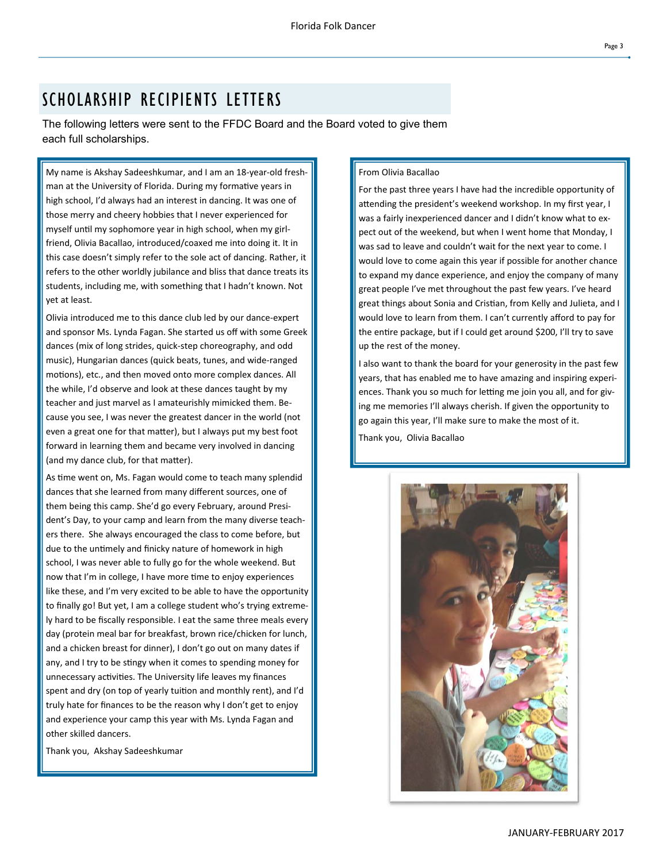# SCHOLARSHIP RECIPIENTS LETTERS

The following letters were sent to the FFDC Board and the Board voted to give them each full scholarships.

My name is Akshay Sadeeshkumar, and I am an 18‐year‐old fresh‐ man at the University of Florida. During my formative years in high school, I'd always had an interest in dancing. It was one of those merry and cheery hobbies that I never experienced for myself until my sophomore year in high school, when my girlfriend, Olivia Bacallao, introduced/coaxed me into doing it. It in this case doesn't simply refer to the sole act of dancing. Rather, it refers to the other worldly jubilance and bliss that dance treats its students, including me, with something that I hadn't known. Not yet at least.

Olivia introduced me to this dance club led by our dance‐expert and sponsor Ms. Lynda Fagan. She started us off with some Greek dances (mix of long strides, quick‐step choreography, and odd music), Hungarian dances (quick beats, tunes, and wide‐ranged motions), etc., and then moved onto more complex dances. All the while, I'd observe and look at these dances taught by my teacher and just marvel as I amateurishly mimicked them. Be‐ cause you see, I was never the greatest dancer in the world (not even a great one for that matter), but I always put my best foot forward in learning them and became very involved in dancing (and my dance club, for that matter).

As time went on, Ms. Fagan would come to teach many splendid dances that she learned from many different sources, one of them being this camp. She'd go every February, around Presi‐ dent's Day, to your camp and learn from the many diverse teach‐ ers there. She always encouraged the class to come before, but due to the untimely and finicky nature of homework in high school, I was never able to fully go for the whole weekend. But now that I'm in college, I have more time to enjoy experiences like these, and I'm very excited to be able to have the opportunity to finally go! But yet, I am a college student who's trying extreme‐ ly hard to be fiscally responsible. I eat the same three meals every day (protein meal bar for breakfast, brown rice/chicken for lunch, and a chicken breast for dinner), I don't go out on many dates if any, and I try to be stingy when it comes to spending money for unnecessary activities. The University life leaves my finances spent and dry (on top of yearly tuition and monthly rent), and I'd truly hate for finances to be the reason why I don't get to enjoy and experience your camp this year with Ms. Lynda Fagan and other skilled dancers.

Thank you, Akshay Sadeeshkumar

#### From Olivia Bacallao

For the past three years I have had the incredible opportunity of attending the president's weekend workshop. In my first year, I was a fairly inexperienced dancer and I didn't know what to expect out of the weekend, but when I went home that Monday, I was sad to leave and couldn't wait for the next year to come. I would love to come again this year if possible for another chance to expand my dance experience, and enjoy the company of many great people I've met throughout the past few years. I've heard great things about Sonia and Cristian, from Kelly and Julieta, and I would love to learn from them. I can't currently afford to pay for the entire package, but if I could get around \$200, I'll try to save up the rest of the money.

I also want to thank the board for your generosity in the past few years, that has enabled me to have amazing and inspiring experi‐ ences. Thank you so much for letting me join you all, and for giving me memories I'll always cherish. If given the opportunity to go again this year, I'll make sure to make the most of it.

Thank you, Olivia Bacallao

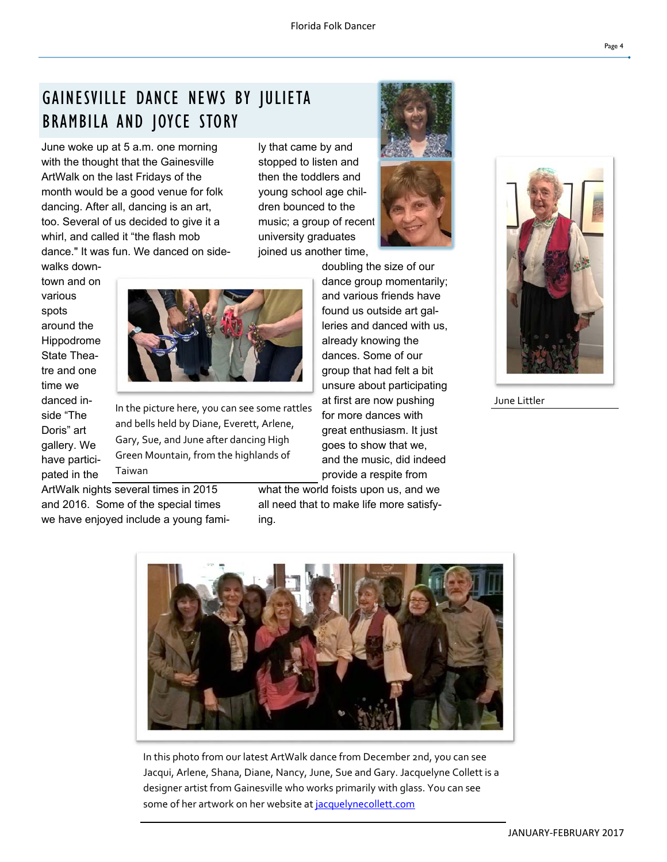# GAINESVILLE DANCE NEWS BY JULIETA BRAMBILA AND JOYCE STORY

June woke up at 5 a.m. one morning with the thought that the Gainesville ArtWalk on the last Fridays of the month would be a good venue for folk dancing. After all, dancing is an art, too. Several of us decided to give it a whirl, and called it "the flash mob dance." It was fun. We danced on sidely that came by and stopped to listen and then the toddlers and young school age children bounced to the music; a group of recent university graduates joined us another time,





walks downtown and on various spots around the Hippodrome State Theatre and one time we danced inside "The Doris" art gallery. We have participated in the



In the picture here, you can see some rattles and bells held by Diane, Everett, Arlene, Gary, Sue, and June after dancing High Green Mountain, from the highlands of Taiwan

ArtWalk nights several times in 2015 and 2016. Some of the special times we have enjoyed include a young fami-

and various friends have found us outside art galleries and danced with us, already knowing the dances. Some of our group that had felt a bit unsure about participating at first are now pushing for more dances with great enthusiasm. It just goes to show that we, and the music, did indeed provide a respite from

doubling the size of our dance group momentarily;

what the world foists upon us, and we all need that to make life more satisfying.



June Littler



In this photo from our latest ArtWalk dance from December 2nd, you can see Jacqui, Arlene, Shana, Diane, Nancy, June, Sue and Gary. Jacquelyne Collett is a designer artist from Gainesville who works primarily with glass. You can see some of her artwork on her website at jacquelynecollett.com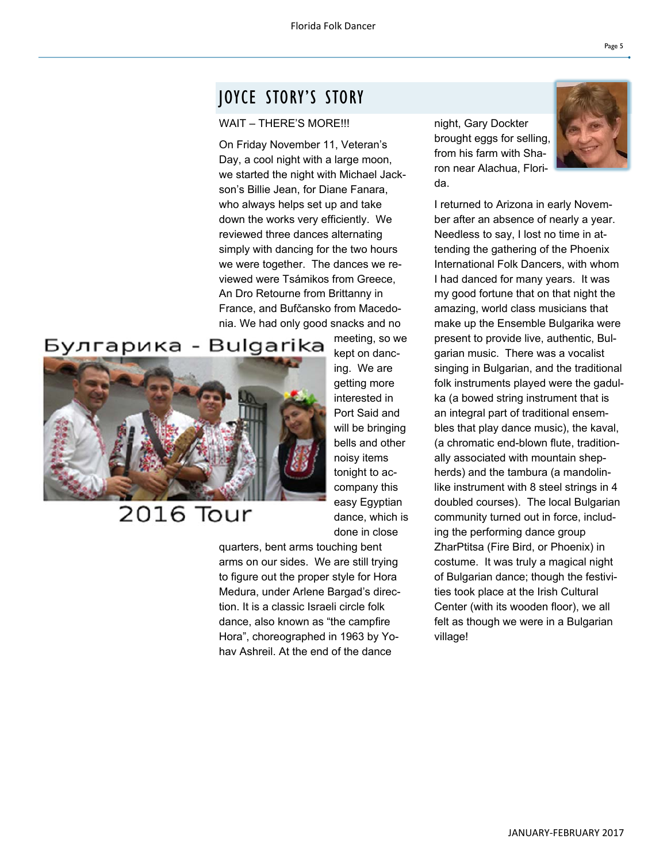### JOYCE STORY'S STORY

#### WAIT – THERE'S MORE!!!

On Friday November 11, Veteran's Day, a cool night with a large moon, we started the night with Michael Jackson's Billie Jean, for Diane Fanara, who always helps set up and take down the works very efficiently. We reviewed three dances alternating simply with dancing for the two hours we were together. The dances we reviewed were Tsámikos from Greece, An Dro Retourne from Brittanny in France, and Bufčansko from Macedonia. We had only good snacks and no

### Булгарика - Bulgarika



# 2016 Tour

meeting, so we kept on dancing. We are getting more interested in Port Said and will be bringing bells and other noisy items tonight to accompany this easy Egyptian dance, which is done in close

quarters, bent arms touching bent arms on our sides. We are still trying to figure out the proper style for Hora Medura, under Arlene Bargad's direction. It is a classic Israeli circle folk dance, also known as "the campfire Hora", choreographed in 1963 by Yohav Ashreil. At the end of the dance

night, Gary Dockter brought eggs for selling, from his farm with Sharon near Alachua, Florida.



I returned to Arizona in early November after an absence of nearly a year. Needless to say, I lost no time in attending the gathering of the Phoenix International Folk Dancers, with whom I had danced for many years. It was my good fortune that on that night the amazing, world class musicians that make up the Ensemble Bulgarika were present to provide live, authentic, Bulgarian music. There was a vocalist singing in Bulgarian, and the traditional folk instruments played were the gadulka (a bowed string instrument that is an integral part of traditional ensembles that play dance music), the kaval, (a chromatic end-blown flute, traditionally associated with mountain shepherds) and the tambura (a mandolinlike instrument with 8 steel strings in 4 doubled courses). The local Bulgarian community turned out in force, including the performing dance group ZharPtitsa (Fire Bird, or Phoenix) in costume. It was truly a magical night of Bulgarian dance; though the festivities took place at the Irish Cultural Center (with its wooden floor), we all felt as though we were in a Bulgarian village!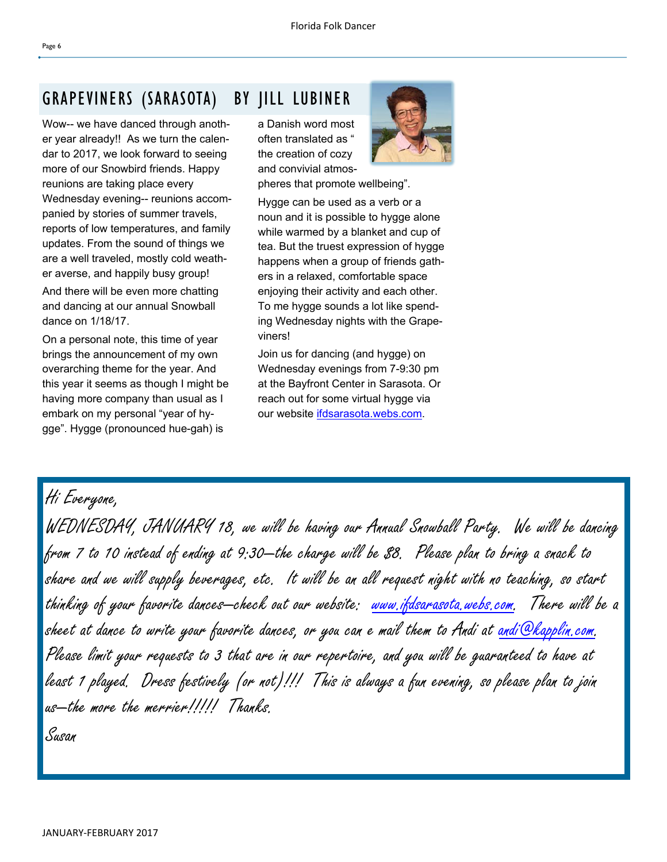# GRAPEVINERS (SARASOTA) BY JILL LUBINER

Wow-- we have danced through another year already!! As we turn the calendar to 2017, we look forward to seeing more of our Snowbird friends. Happy reunions are taking place every Wednesday evening-- reunions accompanied by stories of summer travels, reports of low temperatures, and family updates. From the sound of things we are a well traveled, mostly cold weather averse, and happily busy group!

And there will be even more chatting and dancing at our annual Snowball dance on 1/18/17.

On a personal note, this time of year brings the announcement of my own overarching theme for the year. And this year it seems as though I might be having more company than usual as I embark on my personal "year of hygge". Hygge (pronounced hue-gah) is

a Danish word most often translated as " the creation of cozy and convivial atmos-

pheres that promote wellbeing".

Hygge can be used as a verb or a noun and it is possible to hygge alone while warmed by a blanket and cup of tea. But the truest expression of hygge happens when a group of friends gathers in a relaxed, comfortable space enjoying their activity and each other. To me hygge sounds a lot like spending Wednesday nights with the Grapeviners!

Join us for dancing (and hygge) on Wednesday evenings from 7-9:30 pm at the Bayfront Center in Sarasota. Or reach out for some virtual hygge via our website ifdsarasota.webs.com.

Hi Everyone,

WEDNESDAY, JANUARY 18, we will be having our Annual Snowball Party. We will be dancing from 7 to 10 instead of ending at 9:30—the charge will be \$8. Please plan to bring a snack to share and we will supply beverages, etc. It will be an all request night with no teaching, so start thinking of your favorite dances—check out our website: www.ifdsarasota.webs.com. There will be a sheet at dance to write your favorite dances, or you can e mail them to Andi at <u>andi@kapplin,</u>com. Please limit your requests to 3 that are in our repertoire, and you will be guaranteed to have at least 1 played. Dress festively (or not)!!! This is always a fun evening, so please plan to join us—the more the merrier!!!!! Thanks.

Susan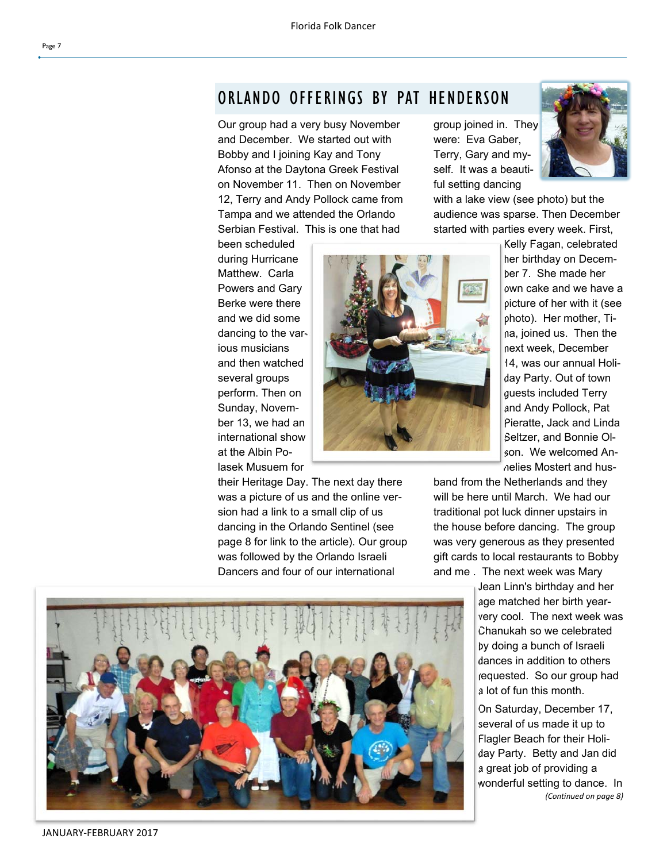### ORLANDO OFFERINGS BY PAT HENDERSON

Our group had a very busy November and December. We started out with Bobby and I joining Kay and Tony Afonso at the Daytona Greek Festival on November 11. Then on November 12, Terry and Andy Pollock came from Tampa and we attended the Orlando Serbian Festival. This is one that had

their Heritage Day. The next day there was a picture of us and the online version had a link to a small clip of us dancing in the Orlando Sentinel (see page 8 for link to the article). Our group was followed by the Orlando Israeli Dancers and four of our international

group joined in. They were: Eva Gaber, Terry, Gary and myself. It was a beautiful setting dancing



with a lake view (see photo) but the audience was sparse. Then December started with parties every week. First,

been scheduled during Hurricane Matthew. Carla Powers and Gary Berke were there and we did some dancing to the various musicians and then watched several groups perform. Then on Sunday, November 13, we had an international show at the Albin Polasek Musuem for



Kelly Fagan, celebrated her birthday on December 7. She made her own cake and we have a picture of her with it (see photo). Her mother, Tina, joined us. Then the next week, December 14, was our annual Holiday Party. Out of town guests included Terry and Andy Pollock, Pat Pieratte, Jack and Linda Seltzer, and Bonnie Olson. We welcomed Annelies Mostert and hus-

band from the Netherlands and they will be here until March. We had our traditional pot luck dinner upstairs in the house before dancing. The group was very generous as they presented gift cards to local restaurants to Bobby and me . The next week was Mary

> Jean Linn's birthday and her age matched her birth yearvery cool. The next week was Chanukah so we celebrated by doing a bunch of Israeli dances in addition to others requested. So our group had a lot of fun this month.

> On Saturday, December 17, several of us made it up to Flagler Beach for their Holiday Party. Betty and Jan did a great job of providing a wonderful setting to dance. In *(ConƟnued on page 8)*

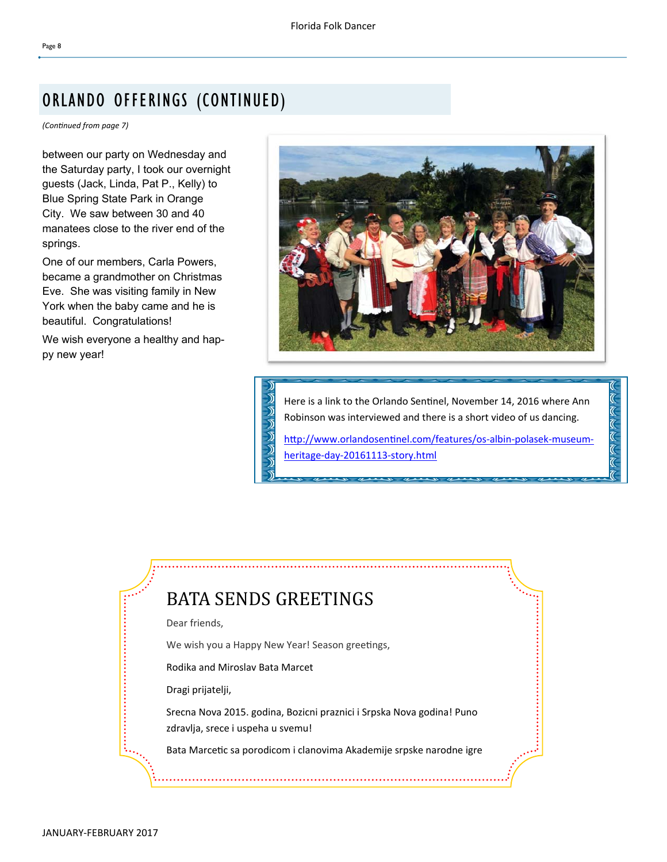# ORLANDO OFFERINGS (CONTINUED)

*(ConƟnued from page 7)* 

between our party on Wednesday and the Saturday party, I took our overnight guests (Jack, Linda, Pat P., Kelly) to Blue Spring State Park in Orange City. We saw between 30 and 40 manatees close to the river end of the springs.

One of our members, Carla Powers, became a grandmother on Christmas Eve. She was visiting family in New York when the baby came and he is beautiful. Congratulations!

We wish everyone a healthy and happy new year!



Here is a link to the Orlando Sentinel, November 14, 2016 where Ann Robinson was interviewed and there is a short video of us dancing.

http://www.orlandosentinel.com/features/os-albin-polasek-museumheritage‐day‐20161113‐story.html

# BATA SENDS GREETINGS

Dear friends,

We wish you a Happy New Year! Season greetings,

Rodika and Miroslav Bata Marcet

Dragi prijatelji,

Srecna Nova 2015. godina, Bozicni praznici i Srpska Nova godina! Puno zdravlja, srece i uspeha u svemu!

Bata Marcetic sa porodicom i clanovima Akademije srpske narodne igre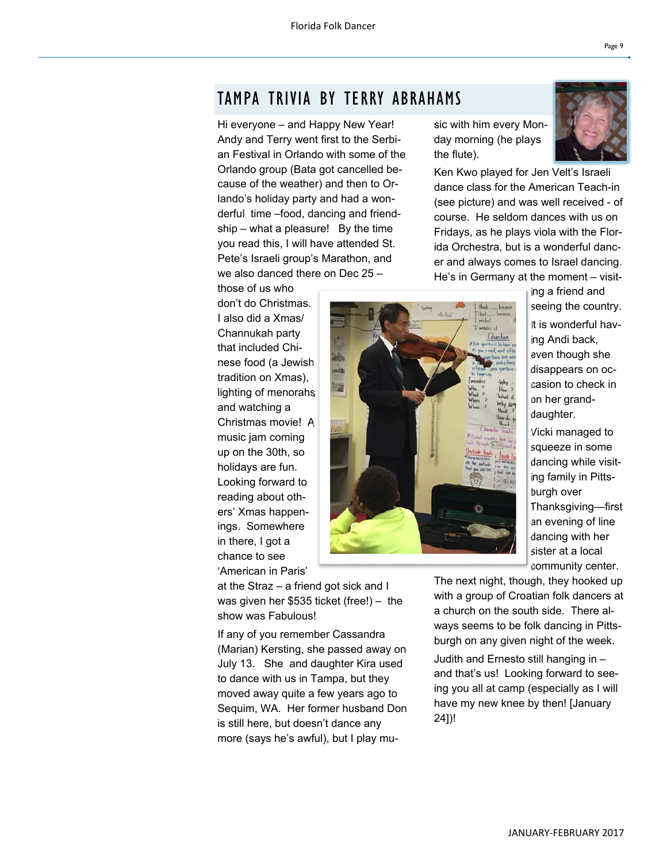### TAMPA TRIVIA BY TERRY ABRAHAMS

Hi everyone – and Happy New Year! Andy and Terry went first to the Serbian Festival in Orlando with some of the Orlando group (Bata got cancelled because of the weather) and then to Orlando's holiday party and had a wonderful time –food, dancing and friendship – what a pleasure! By the time you read this, I will have attended St. Pete's Israeli group's Marathon, and we also danced there on Dec 25 –

those of us who don't do Christmas. I also did a Xmas/ Channukah party that included Chinese food (a Jewish tradition on Xmas), lighting of menorahs and watching a Christmas movie! A music jam coming up on the 30th, so holidays are fun. Looking forward to reading about others' Xmas happenings. Somewhere in there, I got a chance to see 'American in Paris'

at the Straz – a friend got sick and I was given her \$535 ticket (free!) – the show was Fabulous!

If any of you remember Cassandra (Marian) Kersting, she passed away on July 13. She and daughter Kira used to dance with us in Tampa, but they moved away quite a few years ago to Sequim, WA. Her former husband Don is still here, but doesn't dance any more (says he's awful), but I play music with him every Monday morning (he plays the flute).

Ken Kwo played for Jen Velt's Israeli dance class for the American Teach-in (see picture) and was well received - of course. He seldom dances with us on Fridays, as he plays viola with the Florida Orchestra, but is a wonderful dancer and always comes to Israel dancing. He's in Germany at the moment – visit-

ing a friend and seeing the country. It is wonderful having Andi back, even though she disappears on occasion to check in on her granddaughter.

Vicki managed to squeeze in some dancing while visiting family in Pittsburgh over Thanksgiving—first an evening of line dancing with her sister at a local community center.

The next night, though, they hooked up with a group of Croatian folk dancers at a church on the south side. There always seems to be folk dancing in Pittsburgh on any given night of the week.

Judith and Ernesto still hanging in – and that's us! Looking forward to seeing you all at camp (especially as I will have my new knee by then! [January 24])!

JANUARY‐FEBRUARY 2017

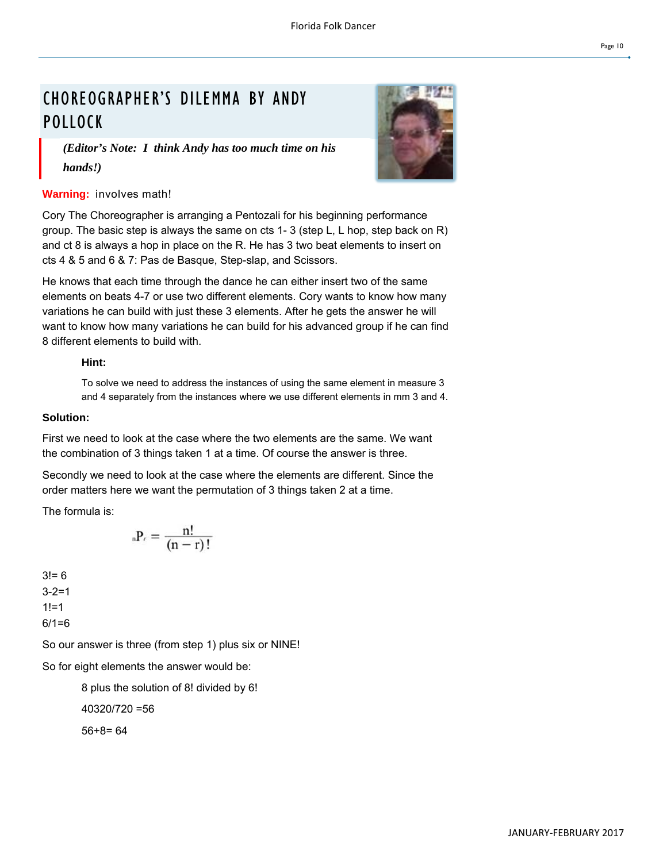# CHOREOGRAPHER'S DILEMMA BY ANDY **POLLOCK**



*(Editor's Note: I think Andy has too much time on his hands!)* 

#### **Warning:** involves math!

Cory The Choreographer is arranging a Pentozali for his beginning performance group. The basic step is always the same on cts 1- 3 (step L, L hop, step back on R) and ct 8 is always a hop in place on the R. He has 3 two beat elements to insert on cts 4 & 5 and 6 & 7: Pas de Basque, Step-slap, and Scissors.

He knows that each time through the dance he can either insert two of the same elements on beats 4-7 or use two different elements. Cory wants to know how many variations he can build with just these 3 elements. After he gets the answer he will want to know how many variations he can build for his advanced group if he can find 8 different elements to build with.

#### **Hint:**

To solve we need to address the instances of using the same element in measure 3 and 4 separately from the instances where we use different elements in mm 3 and 4.

#### **Solution:**

First we need to look at the case where the two elements are the same. We want the combination of 3 things taken 1 at a time. Of course the answer is three.

Secondly we need to look at the case where the elements are different. Since the order matters here we want the permutation of 3 things taken 2 at a time.

The formula is:

$$
_nP_r=\frac{n!}{\left( n-r\right) !}
$$

 $3! = 6$  $3 - 2 = 1$  $1! = 1$  $6/1=6$ 

So our answer is three (from step 1) plus six or NINE!

So for eight elements the answer would be:

8 plus the solution of 8! divided by 6!

40320/720 =56

56+8= 64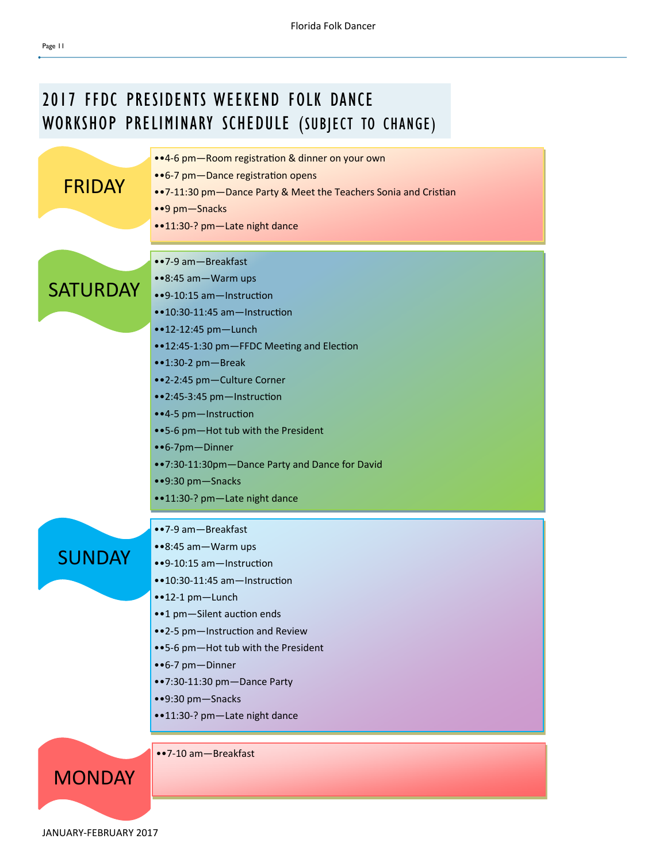

FRIDAY •• 6-7 pm - Dance registration opens

> ••7‐9 am—Breakfast ••8:45 am—Warm ups

- •• 7-11:30 pm Dance Party & Meet the Teachers Sonia and Cristian
- ••9 pm—Snacks
- ••11:30-? pm-Late night dance

**SATURDAY** 

- ••9-10:15 am-Instruction
- ••10:30-11:45 am-Instruction
- ••12-12:45 pm-Lunch
- ••12:45-1:30 pm-FFDC Meeting and Election
- ••1:30‐2 pm—Break
- ••2‐2:45 pm—Culture Corner
- •• 2:45-3:45 pm-Instruction
- •• 4-5 pm-Instruction
- ••5‐6 pm—Hot tub with the President
- ••6‐7pm—Dinner
- ••7:30‐11:30pm—Dance Party and Dance for David
- ••9:30 pm—Snacks
- ••11:30‐? pm—Late night dance

••7‐9 am—Breakfast ••8:45 am—Warm ups

### **SUNDAY**

- •• 9-10:15 am Instruction ••10:30-11:45 am-Instruction
- ••12‐1 pm—Lunch
- ••1 pm-Silent auction ends
- ••2-5 pm-Instruction and Review
- ••5‐6 pm—Hot tub with the President
- ••6‐7 pm—Dinner
- ••7:30‐11:30 pm—Dance Party
- ••9:30 pm—Snacks
- ••11:30-? pm-Late night dance

••7‐10 am—Breakfast

Page 11

JANUARY‐FEBRUARY 2017

**MONDAY**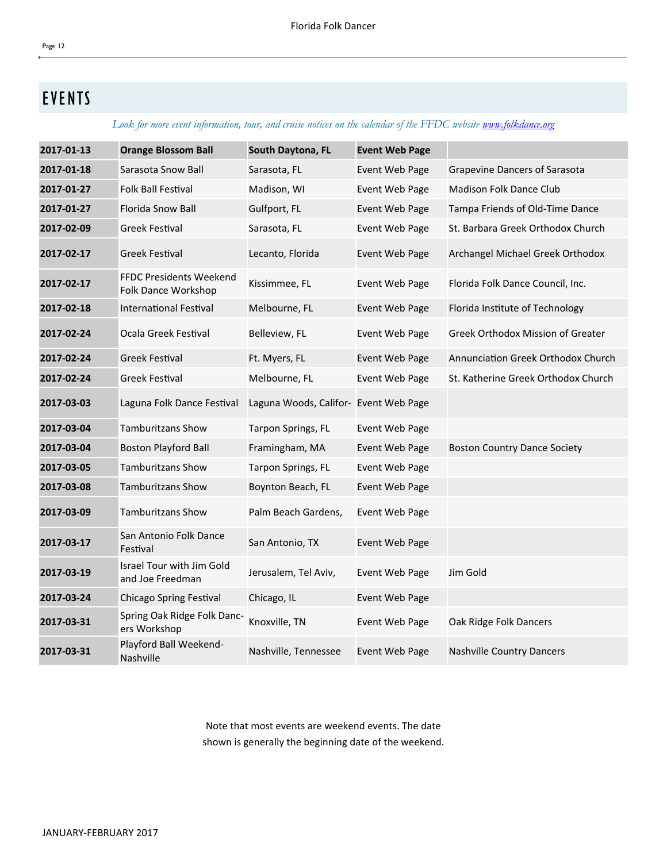### Page 12

# EVENTS

*Look for more event information, tour, and cruise notices on the calendar of the FFDC website www.folkdance.org*

| 2017-01-13 | <b>Orange Blossom Ball</b>                     | South Daytona, FL                     | <b>Event Web Page</b> |                                     |
|------------|------------------------------------------------|---------------------------------------|-----------------------|-------------------------------------|
| 2017-01-18 | Sarasota Snow Ball                             | Sarasota, FL                          | Event Web Page        | Grapevine Dancers of Sarasota       |
| 2017-01-27 | <b>Folk Ball Festival</b>                      | Madison, WI                           | Event Web Page        | Madison Folk Dance Club             |
| 2017-01-27 | Florida Snow Ball                              | Gulfport, FL                          | Event Web Page        | Tampa Friends of Old-Time Dance     |
| 2017-02-09 | <b>Greek Festival</b>                          | Sarasota, FL                          | Event Web Page        | St. Barbara Greek Orthodox Church   |
| 2017-02-17 | <b>Greek Festival</b>                          | Lecanto, Florida                      | Event Web Page        | Archangel Michael Greek Orthodox    |
| 2017-02-17 | FFDC Presidents Weekend<br>Folk Dance Workshop | Kissimmee, FL                         | Event Web Page        | Florida Folk Dance Council, Inc.    |
| 2017-02-18 | International Festival                         | Melbourne, FL                         | Event Web Page        | Florida Institute of Technology     |
| 2017-02-24 | Ocala Greek Festival                           | Belleview, FL                         | Event Web Page        | Greek Orthodox Mission of Greater   |
| 2017-02-24 | <b>Greek Festival</b>                          | Ft. Myers, FL                         | Event Web Page        | Annunciation Greek Orthodox Church  |
| 2017-02-24 | <b>Greek Festival</b>                          | Melbourne, FL                         | Event Web Page        | St. Katherine Greek Orthodox Church |
| 2017-03-03 | Laguna Folk Dance Festival                     | Laguna Woods, Califor- Event Web Page |                       |                                     |
| 2017-03-04 | <b>Tamburitzans Show</b>                       | Tarpon Springs, FL                    | Event Web Page        |                                     |
| 2017-03-04 | <b>Boston Playford Ball</b>                    | Framingham, MA                        | Event Web Page        | <b>Boston Country Dance Society</b> |
| 2017-03-05 | <b>Tamburitzans Show</b>                       | Tarpon Springs, FL                    | Event Web Page        |                                     |
| 2017-03-08 | <b>Tamburitzans Show</b>                       | Boynton Beach, FL                     | Event Web Page        |                                     |
| 2017-03-09 | <b>Tamburitzans Show</b>                       | Palm Beach Gardens,                   | Event Web Page        |                                     |
| 2017-03-17 | San Antonio Folk Dance<br>Festival             | San Antonio, TX                       | Event Web Page        |                                     |
| 2017-03-19 | Israel Tour with Jim Gold<br>and Joe Freedman  | Jerusalem, Tel Aviv,                  | Event Web Page        | Jim Gold                            |
| 2017-03-24 | Chicago Spring Festival                        | Chicago, IL                           | Event Web Page        |                                     |
| 2017-03-31 | Spring Oak Ridge Folk Danc-<br>ers Workshop    | Knoxville, TN                         | Event Web Page        | Oak Ridge Folk Dancers              |
| 2017-03-31 | Playford Ball Weekend-<br>Nashville            | Nashville, Tennessee                  | Event Web Page        | <b>Nashville Country Dancers</b>    |

Note that most events are weekend events. The date shown is generally the beginning date of the weekend.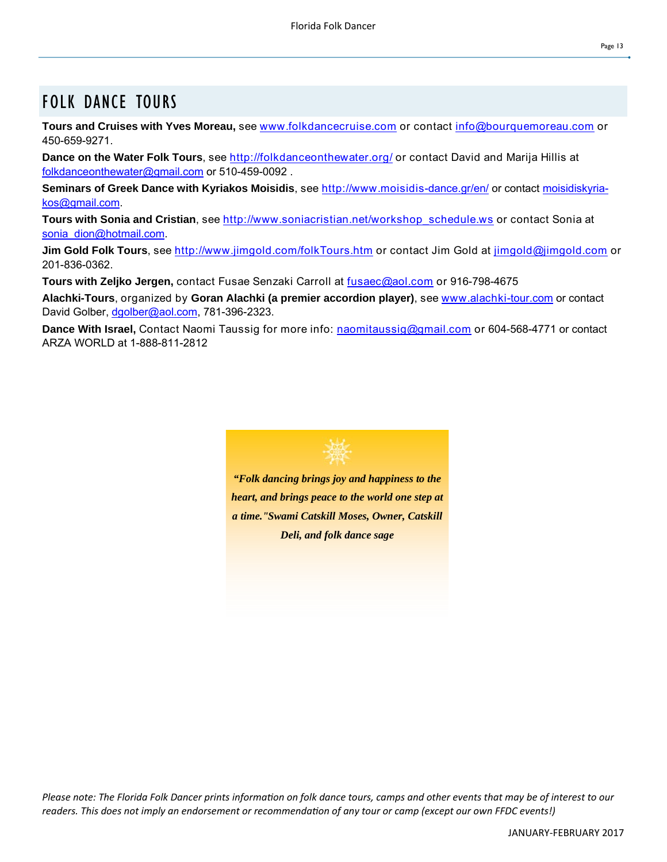# FOLK DANCE TOURS

**Tours and Cruises with Yves Moreau,** see www.folkdancecruise.com or contact info@bourquemoreau.com or 450-659-9271.

**Dance on the Water Folk Tours**, see http://folkdanceonthewater.org/ or contact David and Marija Hillis at folkdanceonthewater@gmail.com or 510-459-0092 .

**Seminars of Greek Dance with Kyriakos Moisidis**, see http://www.moisidis-dance.gr/en/ or contact moisidiskyriakos@gmail.com.

**Tours with Sonia and Cristian**, see http://www.soniacristian.net/workshop\_schedule.ws or contact Sonia at sonia\_dion@hotmail.com.

**Jim Gold Folk Tours**, see http://www.jimgold.com/folkTours.htm or contact Jim Gold at jimgold@jimgold.com or 201-836-0362.

**Tours with Zeljko Jergen,** contact Fusae Senzaki Carroll at fusaec@aol.com or 916-798-4675

**Alachki-Tours**, organized by **Goran Alachki (a premier accordion player)**, see www.alachki-tour.com or contact David Golber, dgolber@aol.com, 781-396-2323.

**Dance With Israel,** Contact Naomi Taussig for more info: naomitaussig@gmail.com or 604-568-4771 or contact ARZA WORLD at 1-888-811-2812



*Please note: The Florida Folk Dancer prints information on folk dance tours, camps and other events that may be of interest to our readers. This does not imply an endorsement or recommendaƟon of any tour or camp (except our own FFDC events!)*